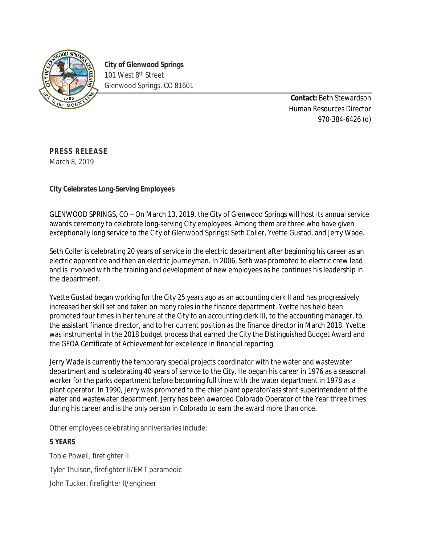

**City of Glenwood Springs** 101 West 8<sup>th</sup> Street Glenwood Springs, CO 81601

> **Contact:** Beth Stewardson Human Resources Director 970-384-6426 (o)

**PRESS RELEASE** March 8, 2019

**City Celebrates Long-Serving Employees**

GLENWOOD SPRINGS, CO – On March 13, 2019, the City of Glenwood Springs will host its annual service awards ceremony to celebrate long-serving City employees. Among them are three who have given exceptionally long service to the City of Glenwood Springs: Seth Coller, Yvette Gustad, and Jerry Wade.

Seth Coller is celebrating 20 years of service in the electric department after beginning his career as an electric apprentice and then an electric journeyman. In 2006, Seth was promoted to electric crew lead and is involved with the training and development of new employees as he continues his leadership in the department.

Yvette Gustad began working for the City 25 years ago as an accounting clerk II and has progressively increased her skill set and taken on many roles in the finance department. Yvette has held been promoted four times in her tenure at the City to an accounting clerk III, to the accounting manager, to the assistant finance director, and to her current position as the finance director in March 2018. Yvette was instrumental in the 2018 budget process that earned the City the Distinguished Budget Award and the GFOA Certificate of Achievement for excellence in financial reporting.

Jerry Wade is currently the temporary special projects coordinator with the water and wastewater department and is celebrating 40 years of service to the City. He began his career in 1976 as a seasonal worker for the parks department before becoming full time with the water department in 1978 as a plant operator. In 1990, Jerry was promoted to the chief plant operator/assistant superintendent of the water and wastewater department. Jerry has been awarded Colorado Operator of the Year three times during his career and is the only person in Colorado to earn the award more than once.

Other employees celebrating anniversaries include:

## **5 YEARS**

Tobie Powell, firefighter II Tyler Thulson, firefighter II/EMT paramedic John Tucker, firefighter II/engineer